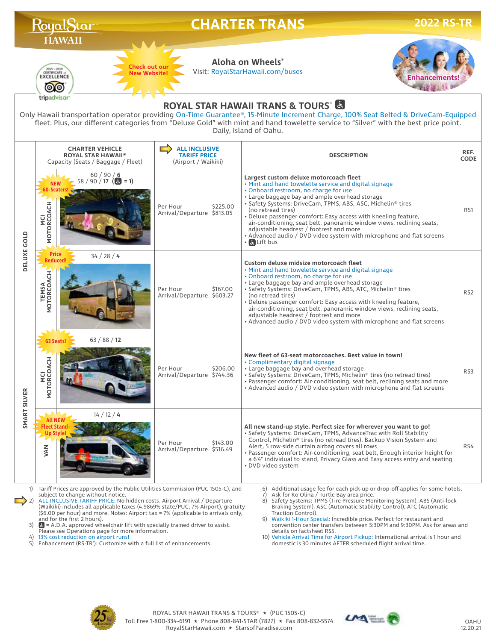|                                                                                                                                                                                                                                                                                                                                                                                                                         | Royal Star                                                                                                                  |                                                                    | <b>CHARTER TRANS</b><br><b>2022 RS-TR</b>                                                                                                                                                                                                                                                                                                                                                                                                                                                                                                                     |                     |  |  |  |  |  |  |
|-------------------------------------------------------------------------------------------------------------------------------------------------------------------------------------------------------------------------------------------------------------------------------------------------------------------------------------------------------------------------------------------------------------------------|-----------------------------------------------------------------------------------------------------------------------------|--------------------------------------------------------------------|---------------------------------------------------------------------------------------------------------------------------------------------------------------------------------------------------------------------------------------------------------------------------------------------------------------------------------------------------------------------------------------------------------------------------------------------------------------------------------------------------------------------------------------------------------------|---------------------|--|--|--|--|--|--|
|                                                                                                                                                                                                                                                                                                                                                                                                                         | <b>HAWAII</b><br><b>Check out our</b><br>$\frac{2015 - 2019}{\text{CERTIFICATE}}$<br><b>New Website!</b><br>EXCELLENCE<br>Ο |                                                                    | Aloha on Wheels®<br>Visit: RoyalStarHawaii.com/buses                                                                                                                                                                                                                                                                                                                                                                                                                                                                                                          |                     |  |  |  |  |  |  |
| tripadvisor<br><b>ROYAL STAR HAWAII TRANS &amp; TOURS &amp;</b><br>Only Hawaii transportation operator providing On-Time Guarantee®, 15-Minute Increment Charge, 100% Seat Belted & DriveCam-Equipped<br>fleet. Plus, our different categories from "Deluxe Gold" with mint and hand towelette service to "Silver" with the best price point.<br>Daily, Island of Oahu.                                                 |                                                                                                                             |                                                                    |                                                                                                                                                                                                                                                                                                                                                                                                                                                                                                                                                               |                     |  |  |  |  |  |  |
|                                                                                                                                                                                                                                                                                                                                                                                                                         | <b>CHARTER VEHICLE</b><br><b>ROYAL STAR HAWAII®</b><br>Capacity (Seats / Baggage / Fleet)                                   | <b>ALL INCLUSIVE</b><br><b>TARIFF PRICE</b><br>(Airport / Waikiki) | <b>DESCRIPTION</b>                                                                                                                                                                                                                                                                                                                                                                                                                                                                                                                                            | REF.<br><b>CODE</b> |  |  |  |  |  |  |
| DELUXE GOLD                                                                                                                                                                                                                                                                                                                                                                                                             | 60/90/6<br>$58 / 90 / 17$ ( $\bullet$ = 1)<br><b>60-Seaters</b><br>MCI<br>MOTORCOACH                                        | \$225.00<br>Per Hour<br>Arrival/Departure \$813.05                 | Largest custom deluxe motorcoach fleet<br>• Mint and hand towelette service and digital signage<br>• Onboard restroom, no charge for use<br>• Large baggage bay and ample overhead storage<br>· Safety Systems: DriveCam, TPMS, ABS, ASC, Michelin® tires<br>(no retread tires)<br>. Deluxe passenger comfort: Easy access with kneeling feature,<br>air-conditioning, seat belt, panoramic window views, reclining seats,<br>adjustable headrest / footrest and more<br>• Advanced audio / DVD video system with microphone and flat screens<br>· & Lift bus | RS1                 |  |  |  |  |  |  |
|                                                                                                                                                                                                                                                                                                                                                                                                                         | <b>Price</b><br>34 / 28 / 4<br>Reduced<br><b>TEMSA<br/>MOTORCOACH</b>                                                       | Per Hour<br>\$167.00<br>Arrival/Departure \$603.27                 | Custom deluxe midsize motorcoach fleet<br>• Mint and hand towelette service and digital signage<br>• Onboard restroom, no charge for use<br>• Large baggage bay and ample overhead storage<br>· Safety Systems: DriveCam, TPMS, ABS, ATC, Michelin® tires<br>(no retread tires)<br>. Deluxe passenger comfort: Easy access with kneeling feature,<br>air-conditioning, seat belt, panoramic window views, reclining seats,<br>adjustable headrest / footrest and more<br>• Advanced audio / DVD video system with microphone and flat screens                 | RS <sub>2</sub>     |  |  |  |  |  |  |
| SMART SILVER                                                                                                                                                                                                                                                                                                                                                                                                            | 63 / 88 / 12<br>63 Seats!<br>공<br>MOTORCOAO                                                                                 | \$206.00<br>Per Hour<br>Arrival/Departure \$744.36                 | New fleet of 63-seat motorcoaches. Best value in town!<br>• Complimentary digital signage<br>• Large baggage bay and overhead storage<br>• Safety Systems: DriveCam, TPMS, Michelin® tires (no retread tires)<br>• Passenger comfort: Air-conditioning, seat belt, reclining seats and more<br>• Advanced audio / DVD video system with microphone and flat screens                                                                                                                                                                                           | RS3                 |  |  |  |  |  |  |
|                                                                                                                                                                                                                                                                                                                                                                                                                         | 14 / 12 / 4<br>Up Stvle<br><b>NAV</b>                                                                                       | \$143.00<br>Per Hour<br>Arrival/Departure \$516.49                 | All new stand-up style. Perfect size for wherever you want to go!<br>• Safety Systems: DriveCam, TPMS, AdvanceTrac with Roll Stability<br>Control, Michelin® tires (no retread tires), Backup Vision System and<br>Alert, 5 row-side curtain airbag covers all rows<br>• Passenger comfort: Air-conditioning, seat belt, Enough interior height for<br>a 6'4" individual to stand, Privacy Glass and Easy access entry and seating<br>• DVD video system                                                                                                      | RS4                 |  |  |  |  |  |  |
| Tariff Prices are approved by the Public Utilities Commission (PUC 1505-C), and<br>6) Additional usage fee for each pick-up or drop-off applies for some hotels.<br>1)<br>subject to change without notice.<br>7)<br>Ask for Ko Olina / Turtle Bay area price.<br>ALL INCLUSIVE TARIFF PRICE: No hidden costs. Airport Arrival / Departure<br>8) Safety Systems: TPMS (Tire Pressure Monitoring System), ABS (Anti-lock |                                                                                                                             |                                                                    |                                                                                                                                                                                                                                                                                                                                                                                                                                                                                                                                                               |                     |  |  |  |  |  |  |

subject to change without notice. 2) ALL INCLUSIVE TARIFF PRICE: No hidden costs. Airport Arrival / Departure (Waikiki) includes all applicable taxes (4.9869% state/PUC, 7% Airport), gratuity (\$6.00 per hour) and more. Notes: Airport tax = 7% (applicable to arrivals only, and for the first 2 hours).

3)  $\bullet$  = A.D.A. approved wheelchair lift with specially trained driver to assist. Please see Operations page for more information. 4) 13% cost reduction on airport runs! 5) Enhancement (RS-TR'): Customize with a full list of enhancements.

7) Ask for Ko Olina / Turtle Bay area price. 8) Safety Systems: TPMS (Tire Pressure Monitoring System), ABS (Anti-lock Braking System), ASC (Automatic Stability Control), ATC (Automatic Traction Control).

9) Waikiki 1-Hour Special: Incredible price. Perfect for restaurant and convention center transfers between 5:30PM and 9:30PM. Ask for areas and

details on factsheet RS5. 10) Vehicle Arrival Time for Airport Pickup: International arrival is 1 hour and domestic is 30 minutes AFTER scheduled flight arrival time.